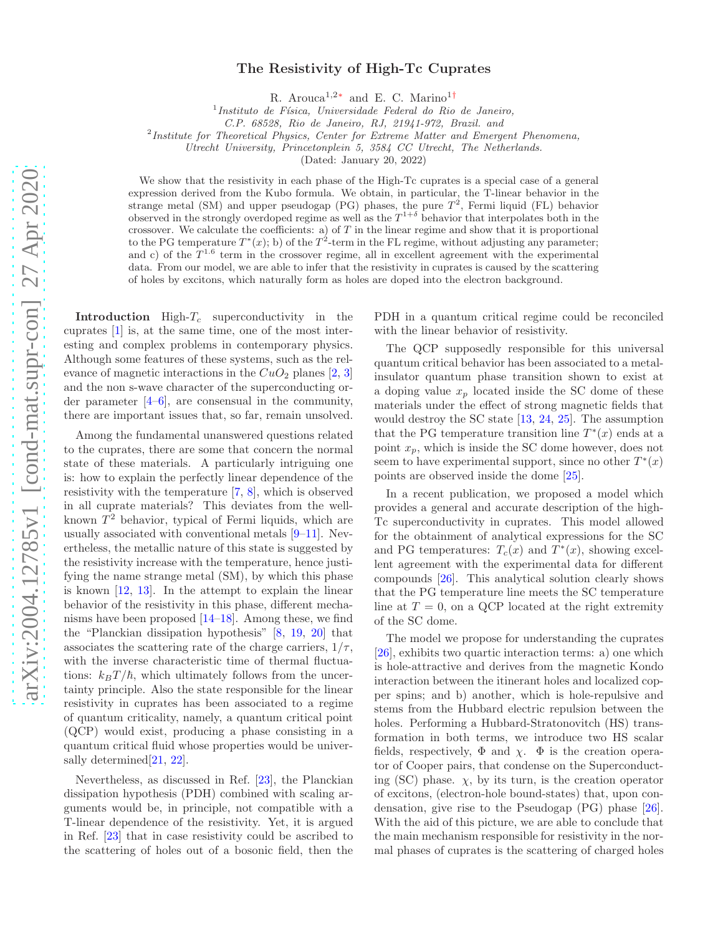# The Resistivity of High-Tc Cuprates

R. Arouca<sup>1,2[∗](#page-5-0)</sup> and E. C. Marino<sup>1[†](#page-5-1)</sup>

 $<sup>1</sup>$ Instituto de Física, Universidade Federal do Rio de Janeiro,</sup>

<sup>2</sup>Institute for Theoretical Physics, Center for Extreme Matter and Emergent Phenomena,

Utrecht University, Princetonplein 5, 3584 CC Utrecht, The Netherlands.

(Dated: January 20, 2022)

We show that the resistivity in each phase of the High-Tc cuprates is a special case of a general expression derived from the Kubo formula. We obtain, in particular, the T-linear behavior in the strange metal (SM) and upper pseudogap (PG) phases, the pure  $T^2$ , Fermi liquid (FL) behavior observed in the strongly overdoped regime as well as the  $T^{1+\delta}$  behavior that interpolates both in the crossover. We calculate the coefficients: a) of  $T$  in the linear regime and show that it is proportional to the PG temperature  $T^*(x)$ ; b) of the  $T^2$ -term in the FL regime, without adjusting any parameter; and c) of the  $T^{1.6}$  term in the crossover regime, all in excellent agreement with the experimental data. From our model, we are able to infer that the resistivity in cuprates is caused by the scattering of holes by excitons, which naturally form as holes are doped into the electron background.

Introduction High- $T_c$  superconductivity in the cuprates [\[1](#page-5-2)] is, at the same time, one of the most interesting and complex problems in contemporary physics. Although some features of these systems, such as the relevance of magnetic interactions in the  $CuO<sub>2</sub>$  planes [\[2,](#page-5-3) [3](#page-5-4)] and the non s-wave character of the superconducting order parameter  $[4-6]$ , are consensual in the community, there are important issues that, so far, remain unsolved.

Among the fundamental unanswered questions related to the cuprates, there are some that concern the normal state of these materials. A particularly intriguing one is: how to explain the perfectly linear dependence of the resistivity with the temperature [\[7,](#page-5-7) [8](#page-5-8)], which is observed in all cuprate materials? This deviates from the wellknown T <sup>2</sup> behavior, typical of Fermi liquids, which are usually associated with conventional metals [\[9](#page-5-9)[–11\]](#page-5-10). Nevertheless, the metallic nature of this state is suggested by the resistivity increase with the temperature, hence justifying the name strange metal (SM), by which this phase is known [\[12,](#page-5-11) [13\]](#page-5-12). In the attempt to explain the linear behavior of the resistivity in this phase, different mechanisms have been proposed  $[14–18]$  $[14–18]$ . Among these, we find the "Planckian dissipation hypothesis" [\[8,](#page-5-8) [19](#page-5-15), [20\]](#page-5-16) that associates the scattering rate of the charge carriers,  $1/\tau$ , with the inverse characteristic time of thermal fluctuations:  $k_BT/\hbar$ , which ultimately follows from the uncertainty principle. Also the state responsible for the linear resistivity in cuprates has been associated to a regime of quantum criticality, namely, a quantum critical point (QCP) would exist, producing a phase consisting in a quantum critical fluid whose properties would be universally determined[\[21,](#page-5-17) [22\]](#page-5-18).

Nevertheless, as discussed in Ref. [\[23\]](#page-5-19), the Planckian dissipation hypothesis (PDH) combined with scaling arguments would be, in principle, not compatible with a T-linear dependence of the resistivity. Yet, it is argued in Ref. [\[23](#page-5-19)] that in case resistivity could be ascribed to the scattering of holes out of a bosonic field, then the

PDH in a quantum critical regime could be reconciled with the linear behavior of resistivity.

The QCP supposedly responsible for this universal quantum critical behavior has been associated to a metalinsulator quantum phase transition shown to exist at a doping value  $x_p$  located inside the SC dome of these materials under the effect of strong magnetic fields that would destroy the SC state [\[13,](#page-5-12) [24,](#page-6-0) [25\]](#page-6-1). The assumption that the PG temperature transition line  $T^*(x)$  ends at a point  $x_p$ , which is inside the SC dome however, does not seem to have experimental support, since no other  $T^*(x)$ points are observed inside the dome [\[25](#page-6-1)].

In a recent publication, we proposed a model which provides a general and accurate description of the high-Tc superconductivity in cuprates. This model allowed for the obtainment of analytical expressions for the SC and PG temperatures:  $T_c(x)$  and  $T^*(x)$ , showing excellent agreement with the experimental data for different compounds [\[26\]](#page-6-2). This analytical solution clearly shows that the PG temperature line meets the SC temperature line at  $T = 0$ , on a QCP located at the right extremity of the SC dome.

The model we propose for understanding the cuprates [\[26\]](#page-6-2), exhibits two quartic interaction terms: a) one which is hole-attractive and derives from the magnetic Kondo interaction between the itinerant holes and localized copper spins; and b) another, which is hole-repulsive and stems from the Hubbard electric repulsion between the holes. Performing a Hubbard-Stratonovitch (HS) transformation in both terms, we introduce two HS scalar fields, respectively,  $\Phi$  and  $\chi$ .  $\Phi$  is the creation operator of Cooper pairs, that condense on the Superconducting (SC) phase.  $\chi$ , by its turn, is the creation operator of excitons, (electron-hole bound-states) that, upon condensation, give rise to the Pseudogap (PG) phase [\[26\]](#page-6-2). With the aid of this picture, we are able to conclude that the main mechanism responsible for resistivity in the normal phases of cuprates is the scattering of charged holes

C.P. 68528, Rio de Janeiro, RJ, 21941-972, Brazil. and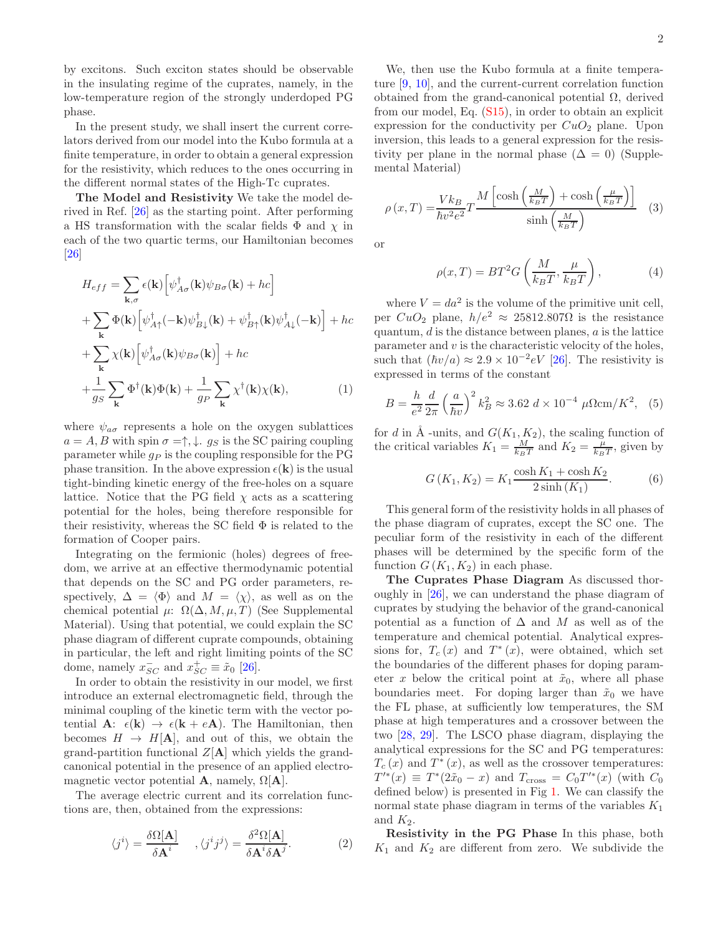by excitons. Such exciton states should be observable in the insulating regime of the cuprates, namely, in the low-temperature region of the strongly underdoped PG phase.

In the present study, we shall insert the current correlators derived from our model into the Kubo formula at a finite temperature, in order to obtain a general expression for the resistivity, which reduces to the ones occurring in the different normal states of the High-Tc cuprates.

The Model and Resistivity We take the model derived in Ref. [\[26\]](#page-6-2) as the starting point. After performing a HS transformation with the scalar fields  $\Phi$  and  $\chi$  in each of the two quartic terms, our Hamiltonian becomes [\[26\]](#page-6-2)

$$
H_{eff} = \sum_{\mathbf{k},\sigma} \epsilon(\mathbf{k}) \left[ \psi_{A\sigma}^{\dagger}(\mathbf{k}) \psi_{B\sigma}(\mathbf{k}) + hc \right]
$$
  
+ 
$$
\sum_{\mathbf{k}} \Phi(\mathbf{k}) \left[ \psi_{A\uparrow}^{\dagger}(-\mathbf{k}) \psi_{B\downarrow}^{\dagger}(\mathbf{k}) + \psi_{B\uparrow}^{\dagger}(\mathbf{k}) \psi_{A\downarrow}^{\dagger}(-\mathbf{k}) \right] + hc
$$
  
+ 
$$
\sum_{\mathbf{k}} \chi(\mathbf{k}) \left[ \psi_{A\sigma}^{\dagger}(\mathbf{k}) \psi_{B\sigma}(\mathbf{k}) \right] + hc
$$
  
+ 
$$
\frac{1}{g_S} \sum_{\mathbf{k}} \Phi^{\dagger}(\mathbf{k}) \Phi(\mathbf{k}) + \frac{1}{g_P} \sum_{\mathbf{k}} \chi^{\dagger}(\mathbf{k}) \chi(\mathbf{k}),
$$
 (1)

k

where  $\psi_{a\sigma}$  represents a hole on the oxygen sublattices  $a = A, B$  with spin  $\sigma = \uparrow, \downarrow$ .  $g_S$  is the SC pairing coupling parameter while  $g_P$  is the coupling responsible for the PG phase transition. In the above expression  $\epsilon(\mathbf{k})$  is the usual tight-binding kinetic energy of the free-holes on a square lattice. Notice that the PG field  $\chi$  acts as a scattering potential for the holes, being therefore responsible for their resistivity, whereas the SC field  $\Phi$  is related to the formation of Cooper pairs.

Integrating on the fermionic (holes) degrees of freedom, we arrive at an effective thermodynamic potential that depends on the SC and PG order parameters, respectively,  $\Delta = \langle \Phi \rangle$  and  $M = \langle \chi \rangle$ , as well as on the chemical potential  $\mu: \Omega(\Delta, M, \mu, T)$  (See Supplemental Material). Using that potential, we could explain the SC phase diagram of different cuprate compounds, obtaining in particular, the left and right limiting points of the SC dome, namely  $x_{SC}^-$  and  $x_{SC}^+ \equiv \tilde{x}_0$  [\[26\]](#page-6-2).

In order to obtain the resistivity in our model, we first introduce an external electromagnetic field, through the minimal coupling of the kinetic term with the vector potential **A**:  $\epsilon(\mathbf{k}) \rightarrow \epsilon(\mathbf{k} + e\mathbf{A})$ . The Hamiltonian, then becomes  $H \to H[\mathbf{A}]$ , and out of this, we obtain the grand-partition functional  $Z[A]$  which yields the grandcanonical potential in the presence of an applied electromagnetic vector potential **A**, namely,  $\Omega[A]$ .

The average electric current and its correlation functions are, then, obtained from the expressions:

$$
\langle j^{i} \rangle = \frac{\delta \Omega[\mathbf{A}]}{\delta \mathbf{A}^{i}} , \langle j^{i} j^{j} \rangle = \frac{\delta^{2} \Omega[\mathbf{A}]}{\delta \mathbf{A}^{i} \delta \mathbf{A}^{j}}.
$$
 (2)

We, then use the Kubo formula at a finite temperature [\[9,](#page-5-9) [10\]](#page-5-20), and the current-current correlation function obtained from the grand-canonical potential  $\Omega$ , derived from our model, Eq. [\(S15\)](#page-9-0), in order to obtain an explicit expression for the conductivity per  $CuO<sub>2</sub>$  plane. Upon inversion, this leads to a general expression for the resistivity per plane in the normal phase ( $\Delta = 0$ ) (Supplemental Material)

$$
\rho(x,T) = \frac{Vk_B}{\hbar v^2 e^2} T \frac{M \left[ \cosh\left(\frac{M}{k_B T}\right) + \cosh\left(\frac{\mu}{k_B T}\right) \right]}{\sinh\left(\frac{M}{k_B T}\right)} \quad (3)
$$

or

$$
\rho(x,T) = BT^2 G\left(\frac{M}{k_B T}, \frac{\mu}{k_B T}\right),\tag{4}
$$

where  $V = da^2$  is the volume of the primitive unit cell, per  $CuO_2$  plane,  $h/e^2 \approx 25812.807\Omega$  is the resistance quantum,  $d$  is the distance between planes,  $a$  is the lattice parameter and  $v$  is the characteristic velocity of the holes, such that  $(\hbar v/a) \approx 2.9 \times 10^{-2} eV$  [\[26](#page-6-2)]. The resistivity is expressed in terms of the constant

$$
B = \frac{h}{e^2} \frac{d}{2\pi} \left(\frac{a}{\hbar v}\right)^2 k_B^2 \approx 3.62 \ d \times 10^{-4} \ \mu \Omega \text{cm}/K^2, \tag{5}
$$

for d in  $Å$  -units, and  $G(K_1, K_2)$ , the scaling function of the critical variables  $K_1 = \frac{M}{k_B T}$  and  $K_2 = \frac{\mu}{k_B T}$ , given by

$$
G(K_1, K_2) = K_1 \frac{\cosh K_1 + \cosh K_2}{2 \sinh (K_1)}.
$$
 (6)

This general form of the resistivity holds in all phases of the phase diagram of cuprates, except the SC one. The peculiar form of the resistivity in each of the different phases will be determined by the specific form of the function  $G(K_1, K_2)$  in each phase.

The Cuprates Phase Diagram As discussed thoroughly in [\[26](#page-6-2)], we can understand the phase diagram of cuprates by studying the behavior of the grand-canonical potential as a function of  $\Delta$  and M as well as of the temperature and chemical potential. Analytical expressions for,  $T_c(x)$  and  $T^*(x)$ , were obtained, which set the boundaries of the different phases for doping parameter x below the critical point at  $\tilde{x}_0$ , where all phase boundaries meet. For doping larger than  $\tilde{x}_0$  we have the FL phase, at sufficiently low temperatures, the SM phase at high temperatures and a crossover between the two [\[28](#page-6-3), [29](#page-6-4)]. The LSCO phase diagram, displaying the analytical expressions for the SC and PG temperatures:  $T_c(x)$  and  $T^*(x)$ , as well as the crossover temperatures:  $T^{'}(x) \equiv T^{*}(2\tilde{x}_{0} - x)$  and  $T_{\text{cross}} = C_{0}T'^{*}(x)$  (with  $C_{0}$ defined below) is presented in Fig [1.](#page-13-0) We can classify the normal state phase diagram in terms of the variables  $K_1$ and  $K_2$ .

Resistivity in the PG Phase In this phase, both  $K_1$  and  $K_2$  are different from zero. We subdivide the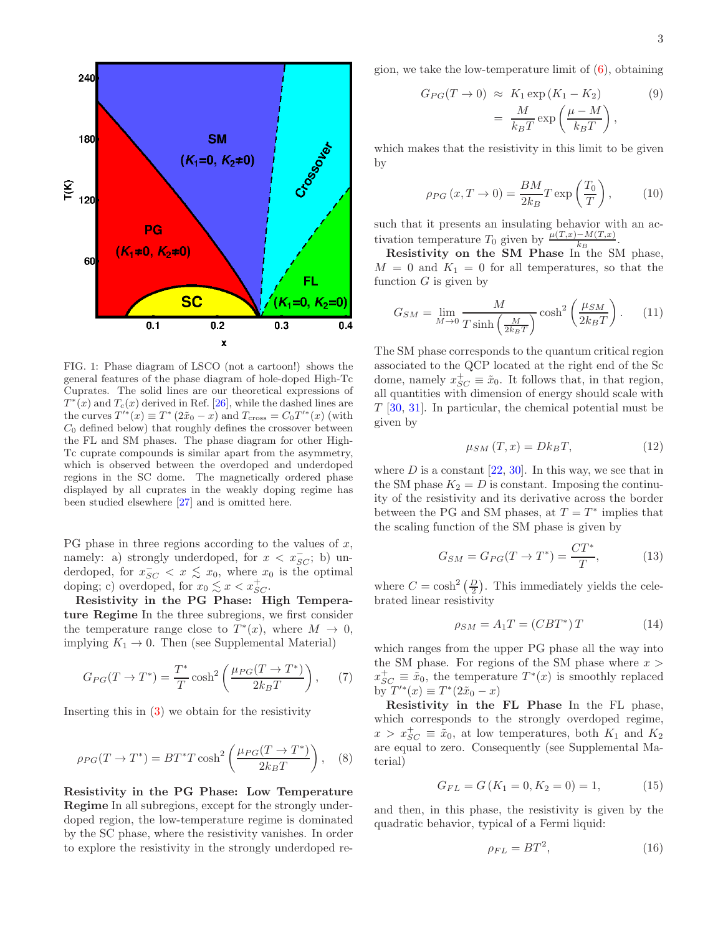

FIG. 1: Phase diagram of LSCO (not a cartoon!) shows the general features of the phase diagram of hole-doped High-Tc Cuprates. The solid lines are our theoretical expressions of  $T^*(x)$  and  $T_c(x)$  derived in Ref. [\[26](#page-6-2)], while the dashed lines are the curves  $T^{'}*(x) \equiv T^* (2\tilde{x}_0 - x)$  and  $T_{\text{cross}} = C_0 T'^*(x)$  (with  $C_0$  defined below) that roughly defines the crossover between the FL and SM phases. The phase diagram for other High-Tc cuprate compounds is similar apart from the asymmetry, which is observed between the overdoped and underdoped regions in the SC dome. The magnetically ordered phase displayed by all cuprates in the weakly doping regime has been studied elsewhere [\[27\]](#page-6-5) and is omitted here.

PG phase in three regions according to the values of  $x$ , namely: a) strongly underdoped, for  $x < x_{SC}^-$ ; b) underdoped, for  $x_{SC}^- < x \leq x_0$ , where  $x_0$  is the optimal doping; c) overdoped, for  $x_0 \lesssim x < x_{SC}^+$ .

Resistivity in the PG Phase: High Temperature Regime In the three subregions, we first consider the temperature range close to  $T^*(x)$ , where  $M \to 0$ , implying  $K_1 \rightarrow 0$ . Then (see Supplemental Material)

$$
G_{PG}(T \to T^*) = \frac{T^*}{T} \cosh^2\left(\frac{\mu_{PG}(T \to T^*)}{2k_B T}\right),\tag{7}
$$

Inserting this in [\(3\)](#page-7-0) we obtain for the resistivity

$$
\rho_{PG}(T \to T^*) = BT^*T \cosh^2\left(\frac{\mu_{PG}(T \to T^*)}{2k_BT}\right), \quad (8)
$$

Resistivity in the PG Phase: Low Temperature Regime In all subregions, except for the strongly underdoped region, the low-temperature regime is dominated by the SC phase, where the resistivity vanishes. In order to explore the resistivity in the strongly underdoped region, we take the low-temperature limit of [\(6\)](#page-7-1), obtaining

$$
G_{PG}(T \to 0) \approx K_1 \exp(K_1 - K_2)
$$
\n
$$
= \frac{M}{k_B T} \exp\left(\frac{\mu - M}{k_B T}\right),
$$
\n(9)

which makes that the resistivity in this limit to be given by

$$
\rho_{PG}(x, T \to 0) = \frac{BM}{2k_B} T \exp\left(\frac{T_0}{T}\right),\tag{10}
$$

such that it presents an insulating behavior with an activation temperature  $T_0$  given by  $\frac{\mu(T,x)-M(T,x)}{k_B}$ .

Resistivity on the SM Phase In the SM phase,  $M = 0$  and  $K_1 = 0$  for all temperatures, so that the function  $G$  is given by

$$
G_{SM} = \lim_{M \to 0} \frac{M}{T \sinh\left(\frac{M}{2k_B T}\right)} \cosh^2\left(\frac{\mu_{SM}}{2k_B T}\right). \tag{11}
$$

The SM phase corresponds to the quantum critical region associated to the QCP located at the right end of the Sc dome, namely  $x_{SC}^{\dagger} \equiv \tilde{x}_0$ . It follows that, in that region, all quantities with dimension of energy should scale with  $T$  [\[30](#page-6-6), [31](#page-6-7)]. In particular, the chemical potential must be given by

$$
\mu_{SM}(T, x) = Dk_B T,\tag{12}
$$

where  $D$  is a constant  $[22, 30]$  $[22, 30]$  $[22, 30]$ . In this way, we see that in the SM phase  $K_2 = D$  is constant. Imposing the continuity of the resistivity and its derivative across the border between the PG and SM phases, at  $T = T^*$  implies that the scaling function of the SM phase is given by

$$
G_{SM} = G_{PG}(T \to T^*) = \frac{CT^*}{T},\tag{13}
$$

where  $C = \cosh^2\left(\frac{D}{2}\right)$ . This immediately yields the celebrated linear resistivity

$$
\rho_{SM} = A_1 T = (CBT^*)T \tag{14}
$$

which ranges from the upper PG phase all the way into the SM phase. For regions of the SM phase where  $x >$  $x_{SC}^+ \equiv \tilde{x}_0$ , the temperature  $T^*(x)$  is smoothly replaced by  $T'^{*}(x) \equiv T^{*}(2\tilde{x}_{0} - x)$ 

Resistivity in the FL Phase In the FL phase, which corresponds to the strongly overdoped regime,  $x > x_{SC}^+ \equiv \tilde{x}_0$ , at low temperatures, both  $K_1$  and  $K_2$ are equal to zero. Consequently (see Supplemental Material)

$$
G_{FL} = G(K_1 = 0, K_2 = 0) = 1,
$$
\n(15)

and then, in this phase, the resistivity is given by the quadratic behavior, typical of a Fermi liquid:

$$
\rho_{FL} = BT^2,\tag{16}
$$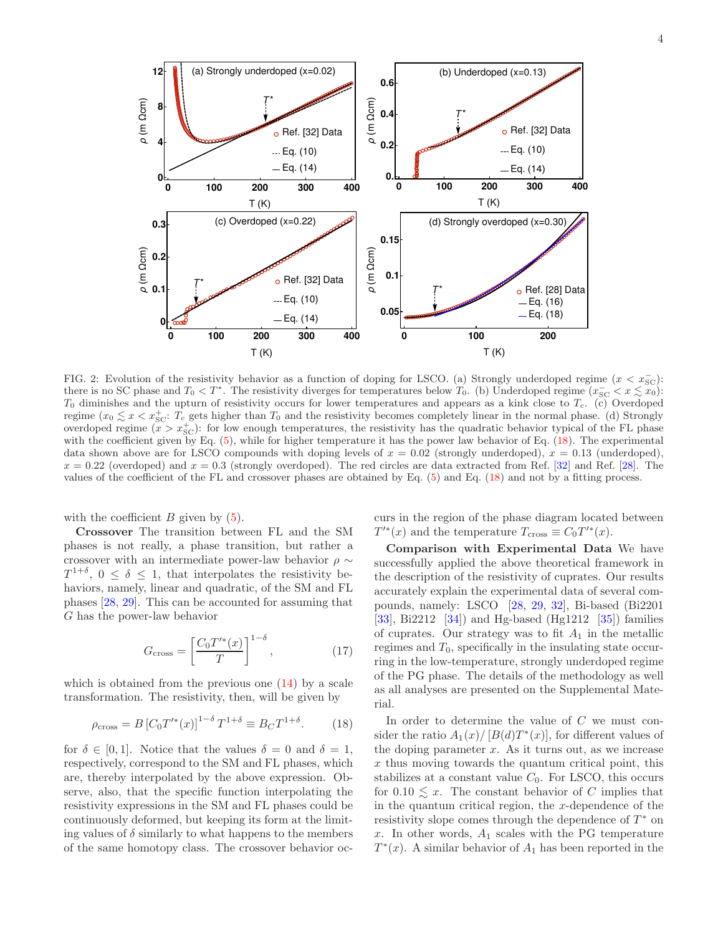

FIG. 2: Evolution of the resistivity behavior as a function of doping for LSCO. (a) Strongly underdoped regime  $(x < x_{\text{SC}}^-)$ : there is no SC phase and  $T_0 < T^*$ . The resistivity diverges for temperatures below  $T_0$ . (b) Underdoped regime  $(x_{\text{SC}}^-\lt x \le x_0)$ :  $T_0$  diminishes and the upturn of resistivity occurs for lower temperatures and appears as a kink close to  $T_c$ . (c) Overdoped regime  $(x_0 \lesssim x < x_{\text{SC}}^+$ :  $T_c$  gets higher than  $T_0$  and the resistivity becomes completely linear in the normal phase. (d) Strongly overdoped regime  $(x > x_{\text{SC}}^+)$ : for low enough temperatures, the resistivity has the quadratic behavior typical of the FL phase with the coefficient given by Eq. [\(5\)](#page-7-2), while for higher temperature it has the power law behavior of Eq. [\(18\)](#page-9-1). The experimental data shown above are for LSCO compounds with doping levels of  $x = 0.02$  (strongly underdoped),  $x = 0.13$  (underdoped),  $x = 0.22$  (overdoped) and  $x = 0.3$  (strongly overdoped). The red circles are data extracted from Ref. [\[32\]](#page-6-8) and Ref. [\[28](#page-6-3)]. The values of the coefficient of the FL and crossover phases are obtained by Eq. [\(5\)](#page-7-2) and Eq. [\(18\)](#page-9-1) and not by a fitting process.

with the coefficient  $B$  given by  $(5)$ .

Crossover The transition between FL and the SM phases is not really, a phase transition, but rather a crossover with an intermediate power-law behavior  $\rho \sim$  $T^{1+\delta}$ ,  $0 \leq \delta \leq 1$ , that interpolates the resistivity behaviors, namely, linear and quadratic, of the SM and FL phases [\[28,](#page-6-3) [29\]](#page-6-4). This can be accounted for assuming that G has the power-law behavior

$$
G_{\rm cross} = \left[\frac{C_0 T'^*(x)}{T}\right]^{1-\delta},\tag{17}
$$

which is obtained from the previous one [\(14\)](#page-8-0) by a scale transformation. The resistivity, then, will be given by

$$
\rho_{\rm cross} = B \left[ C_0 T'^*(x) \right]^{1-\delta} T^{1+\delta} \equiv B_C T^{1+\delta}.
$$
 (18)

for  $\delta \in [0, 1]$ . Notice that the values  $\delta = 0$  and  $\delta = 1$ , respectively, correspond to the SM and FL phases, which are, thereby interpolated by the above expression. Observe, also, that the specific function interpolating the resistivity expressions in the SM and FL phases could be continuously deformed, but keeping its form at the limiting values of  $\delta$  similarly to what happens to the members of the same homotopy class. The crossover behavior occurs in the region of the phase diagram located between  $T^{'}*(x)$  and the temperature  $T_{\text{cross}} \equiv C_0 T'^*(x)$ .

Comparison with Experimental Data We have successfully applied the above theoretical framework in the description of the resistivity of cuprates. Our results accurately explain the experimental data of several compounds, namely: LSCO [\[28](#page-6-3), [29](#page-6-4), [32\]](#page-6-8), Bi-based (Bi2201 [\[33\]](#page-6-9), Bi2212 [\[34\]](#page-6-10)) and Hg-based (Hg1212 [\[35\]](#page-6-11)) families of cuprates. Our strategy was to fit  $A_1$  in the metallic regimes and  $T_0$ , specifically in the insulating state occurring in the low-temperature, strongly underdoped regime of the PG phase. The details of the methodology as well as all analyses are presented on the Supplemental Material.

In order to determine the value of  $C$  we must consider the ratio  $A_1(x)/[B(d)T^*(x)]$ , for different values of the doping parameter  $x$ . As it turns out, as we increase  $x$  thus moving towards the quantum critical point, this stabilizes at a constant value  $C_0$ . For LSCO, this occurs for  $0.10 \leq x$ . The constant behavior of C implies that in the quantum critical region, the  $x$ -dependence of the resistivity slope comes through the dependence of  $T^*$  on x. In other words,  $A_1$  scales with the PG temperature  $T^*(x)$ . A similar behavior of  $A_1$  has been reported in the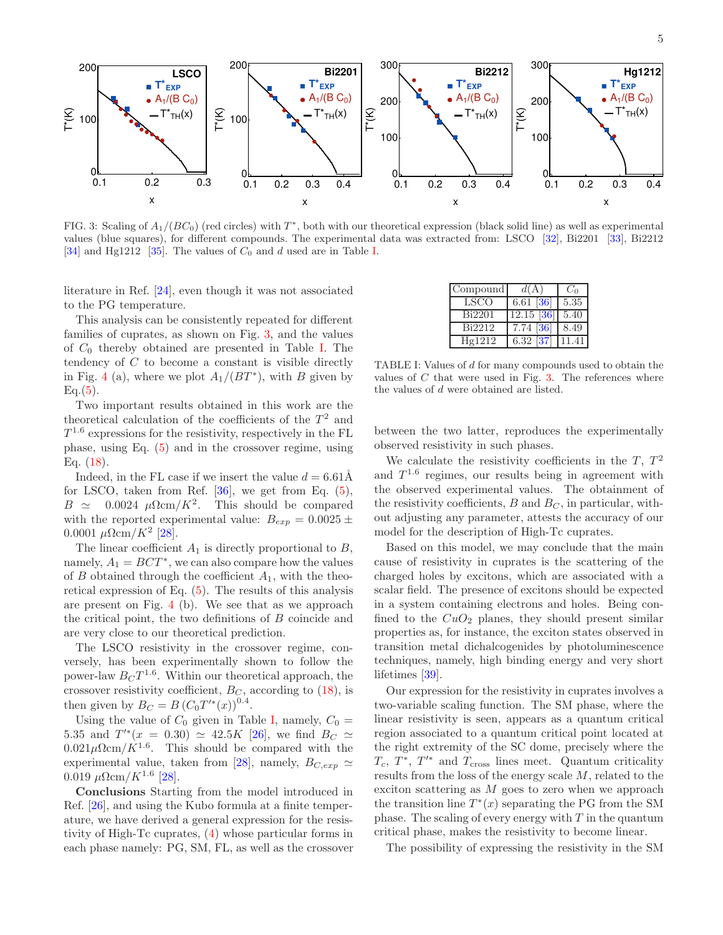

FIG. 3: Scaling of  $A_1/(BC_0)$  (red circles) with  $T^*$ , both with our theoretical expression (black solid line) as well as experimental values (blue squares), for different compounds. The experimental data was extracted from: LSCO [\[32](#page-6-8)], Bi2201 [\[33\]](#page-6-9), Bi2212 [\[34\]](#page-6-10) and Hg1212 [\[35](#page-6-11)]. The values of  $C_0$  and d used are in Table [I.](#page-12-0)

literature in Ref. [\[24\]](#page-6-0), even though it was not associated to the PG temperature.

This analysis can be consistently repeated for different families of cuprates, as shown on Fig. [3,](#page-14-0) and the values of  $C_0$  thereby obtained are presented in Table [I.](#page-12-0) The tendency of  $C$  to become a constant is visible directly in Fig. [4](#page-15-0) (a), where we plot  $A_1/(BT^*)$ , with B given by  $Eq.(5)$  $Eq.(5)$ .

Two important results obtained in this work are the theoretical calculation of the coefficients of the  $T^2$  and  $T^{1.6}$  expressions for the resistivity, respectively in the FL phase, using Eq. [\(5\)](#page-7-2) and in the crossover regime, using Eq. [\(18\)](#page-9-1).

Indeed, in the FL case if we insert the value  $d = 6.61$ Å for LSCO, taken from Ref.  $[36]$ , we get from Eq.  $(5)$ ,  $B \simeq 0.0024 \mu \Omega \text{cm}/K^2$ . This should be compared with the reported experimental value:  $B_{exp}$  = 0.0025  $\pm$  $0.0001 \ \mu \Omega$ cm/ $K^2$  [\[28\]](#page-6-3).

The linear coefficient  $A_1$  is directly proportional to  $B$ , namely,  $A_1 = BCT^*$ , we can also compare how the values of B obtained through the coefficient  $A_1$ , with the theoretical expression of Eq. [\(5\)](#page-7-2). The results of this analysis are present on Fig. [4](#page-15-0) (b). We see that as we approach the critical point, the two definitions of B coincide and are very close to our theoretical prediction.

The LSCO resistivity in the crossover regime, conversely, has been experimentally shown to follow the power-law  $B<sub>C</sub>T<sup>1.6</sup>$ . Within our theoretical approach, the crossover resistivity coefficient,  $B_C$ , according to [\(18\)](#page-9-1), is then given by  $B_C = B (C_0 T'^*(x))^{0.4}$ .

Using the value of  $C_0$  given in Table [I,](#page-12-0) namely,  $C_0 =$ 5.35 and  $T^{*}(x = 0.30) \simeq 42.5K$  [\[26\]](#page-6-2), we find  $B_C \simeq$  $0.021 \mu \Omega \text{cm}/K^{1.6}$ . This should be compared with the experimental value, taken from [\[28](#page-6-3)], namely,  $B_{C,exp} \simeq$  $0.019 \ \mu \Omega \text{cm}/K^{1.6}$  [\[28](#page-6-3)].

Conclusions Starting from the model introduced in Ref. [\[26](#page-6-2)], and using the Kubo formula at a finite temperature, we have derived a general expression for the resistivity of High-Tc cuprates, [\(4\)](#page-7-3) whose particular forms in each phase namely: PG, SM, FL, as well as the crossover

| Compound | d(A)         | C'n             |  |  |
|----------|--------------|-----------------|--|--|
| LSCO     | $6.61$ [36]  | 5.35            |  |  |
| Bi2201   | $12.15$ [36] | 5.40            |  |  |
| Bi2212   | 7.74 [36]    | 8.49            |  |  |
| He1212   | $6.32$ [37]  | $\overline{11}$ |  |  |

TABLE I: Values of d for many compounds used to obtain the values of  $C$  that were used in Fig. [3.](#page-14-0) The references where the values of d were obtained are listed.

between the two latter, reproduces the experimentally observed resistivity in such phases.

We calculate the resistivity coefficients in the  $T$ ,  $T^2$ and  $T^{1.6}$  regimes, our results being in agreement with the observed experimental values. The obtainment of the resistivity coefficients,  $B$  and  $B_C$ , in particular, without adjusting any parameter, attests the accuracy of our model for the description of High-Tc cuprates.

Based on this model, we may conclude that the main cause of resistivity in cuprates is the scattering of the charged holes by excitons, which are associated with a scalar field. The presence of excitons should be expected in a system containing electrons and holes. Being confined to the  $CuO<sub>2</sub>$  planes, they should present similar properties as, for instance, the exciton states observed in transition metal dichalcogenides by photoluminescence techniques, namely, high binding energy and very short lifetimes [\[39](#page-6-14)].

Our expression for the resistivity in cuprates involves a two-variable scaling function. The SM phase, where the linear resistivity is seen, appears as a quantum critical region associated to a quantum critical point located at the right extremity of the SC dome, precisely where the  $T_c$ ,  $T^*$ ,  $T'^*$  and  $T_{cross}$  lines meet. Quantum criticality results from the loss of the energy scale M, related to the exciton scattering as  $M$  goes to zero when we approach the transition line  $T^*(x)$  separating the PG from the SM phase. The scaling of every energy with  $T$  in the quantum critical phase, makes the resistivity to become linear.

The possibility of expressing the resistivity in the SM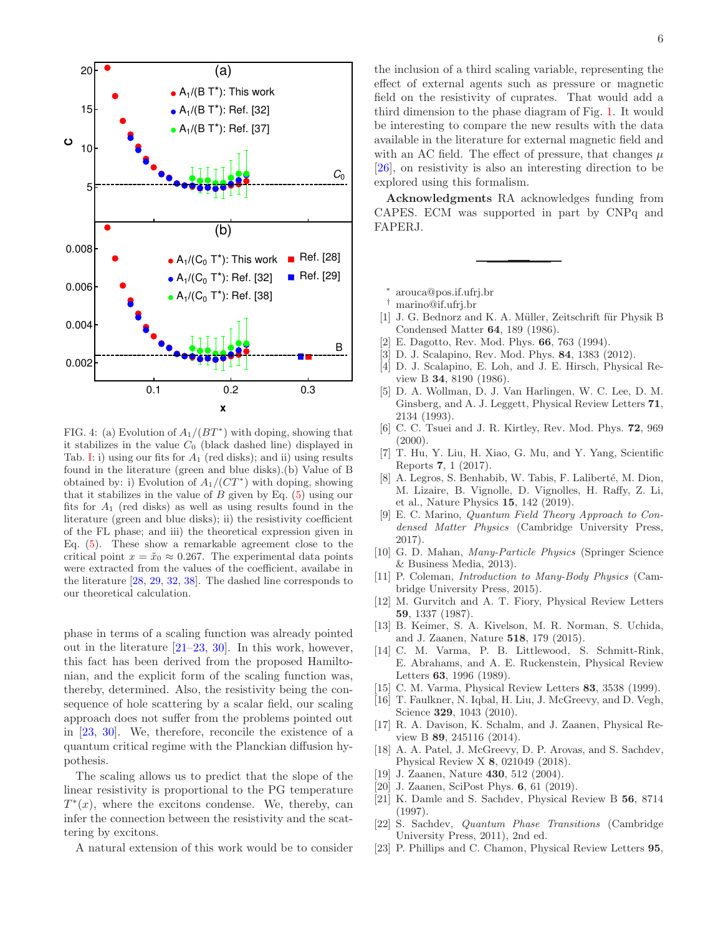

FIG. 4: (a) Evolution of  $A_1/(BT^*)$  with doping, showing that it stabilizes in the value  $C_0$  (black dashed line) displayed in Tab. [I:](#page-12-0) i) using our fits for  $A_1$  (red disks); and ii) using results found in the literature (green and blue disks).(b) Value of B obtained by: i) Evolution of  $A_1/(CT^*)$  with doping, showing that it stabilizes in the value of  $B$  given by Eq.  $(5)$  using our fits for  $A_1$  (red disks) as well as using results found in the literature (green and blue disks); ii) the resistivity coefficient of the FL phase; and iii) the theoretical expression given in Eq. [\(5\)](#page-7-2). These show a remarkable agreement close to the critical point  $x = \tilde{x}_0 \approx 0.267$ . The experimental data points were extracted from the values of the coefficient, availabe in the literature [\[28](#page-6-3), [29](#page-6-4), [32,](#page-6-8) [38](#page-6-15)]. The dashed line corresponds to our theoretical calculation.

phase in terms of a scaling function was already pointed out in the literature  $[21-23, 30]$  $[21-23, 30]$ . In this work, however, this fact has been derived from the proposed Hamiltonian, and the explicit form of the scaling function was, thereby, determined. Also, the resistivity being the consequence of hole scattering by a scalar field, our scaling approach does not suffer from the problems pointed out in [\[23,](#page-5-19) [30\]](#page-6-6). We, therefore, reconcile the existence of a quantum critical regime with the Planckian diffusion hypothesis.

The scaling allows us to predict that the slope of the linear resistivity is proportional to the PG temperature  $T^*(x)$ , where the excitons condense. We, thereby, can infer the connection between the resistivity and the scattering by excitons.

A natural extension of this work would be to consider

the inclusion of a third scaling variable, representing the effect of external agents such as pressure or magnetic field on the resistivity of cuprates. That would add a third dimension to the phase diagram of Fig. [1.](#page-13-0) It would be interesting to compare the new results with the data available in the literature for external magnetic field and with an AC field. The effect of pressure, that changes  $\mu$ [\[26\]](#page-6-2), on resistivity is also an interesting direction to be explored using this formalism.

Acknowledgments RA acknowledges funding from CAPES. ECM was supported in part by CNPq and FAPERJ.

∗ arouca@pos.if.ufrj.br

- <span id="page-5-1"></span><span id="page-5-0"></span>† marino@if.ufrj.br
- <span id="page-5-2"></span>[1] J. G. Bednorz and K. A. Müller, Zeitschrift für Physik B Condensed Matter 64, 189 (1986).
- <span id="page-5-3"></span>E. Dagotto, Rev. Mod. Phys. **66**, 763 (1994).
- <span id="page-5-4"></span>[3] D. J. Scalapino, Rev. Mod. Phys. 84, 1383 (2012).
- <span id="page-5-5"></span>[4] D. J. Scalapino, E. Loh, and J. E. Hirsch, Physical Review B 34, 8190 (1986).
- [5] D. A. Wollman, D. J. Van Harlingen, W. C. Lee, D. M. Ginsberg, and A. J. Leggett, Physical Review Letters 71, 2134 (1993).
- <span id="page-5-6"></span>[6] C. C. Tsuei and J. R. Kirtley, Rev. Mod. Phys. 72, 969  $(2000).$
- <span id="page-5-7"></span>[7] T. Hu, Y. Liu, H. Xiao, G. Mu, and Y. Yang, Scientific Reports 7, 1 (2017).
- <span id="page-5-8"></span>[8] A. Legros, S. Benhabib, W. Tabis, F. Laliberté, M. Dion, M. Lizaire, B. Vignolle, D. Vignolles, H. Raffy, Z. Li, et al., Nature Physics 15, 142 (2019).
- <span id="page-5-9"></span>[9] E. C. Marino, Quantum Field Theory Approach to Condensed Matter Physics (Cambridge University Press, 2017).
- <span id="page-5-20"></span>[10] G. D. Mahan, Many-Particle Physics (Springer Science & Business Media, 2013).
- <span id="page-5-10"></span>[11] P. Coleman, Introduction to Many-Body Physics (Cambridge University Press, 2015).
- <span id="page-5-11"></span>[12] M. Gurvitch and A. T. Fiory, Physical Review Letters 59, 1337 (1987).
- <span id="page-5-12"></span>[13] B. Keimer, S. A. Kivelson, M. R. Norman, S. Uchida, and J. Zaanen, Nature 518, 179 (2015).
- <span id="page-5-13"></span>[14] C. M. Varma, P. B. Littlewood, S. Schmitt-Rink, E. Abrahams, and A. E. Ruckenstein, Physical Review Letters 63, 1996 (1989).
- [15] C. M. Varma, Physical Review Letters 83, 3538 (1999).
- [16] T. Faulkner, N. Iqbal, H. Liu, J. McGreevy, and D. Vegh, Science **329**, 1043 (2010).
- [17] R. A. Davison, K. Schalm, and J. Zaanen, Physical Review B 89, 245116 (2014).
- <span id="page-5-14"></span>[18] A. A. Patel, J. McGreevy, D. P. Arovas, and S. Sachdev, Physical Review X 8, 021049 (2018).
- <span id="page-5-15"></span>[19] J. Zaanen, Nature 430, 512 (2004).
- <span id="page-5-16"></span>[20] J. Zaanen, SciPost Phys. **6**, 61 (2019).
- <span id="page-5-17"></span>[21] K. Damle and S. Sachdev, Physical Review B 56, 8714 (1997).
- <span id="page-5-18"></span>[22] S. Sachdev, Quantum Phase Transitions (Cambridge University Press, 2011), 2nd ed.
- <span id="page-5-19"></span>[23] P. Phillips and C. Chamon, Physical Review Letters 95,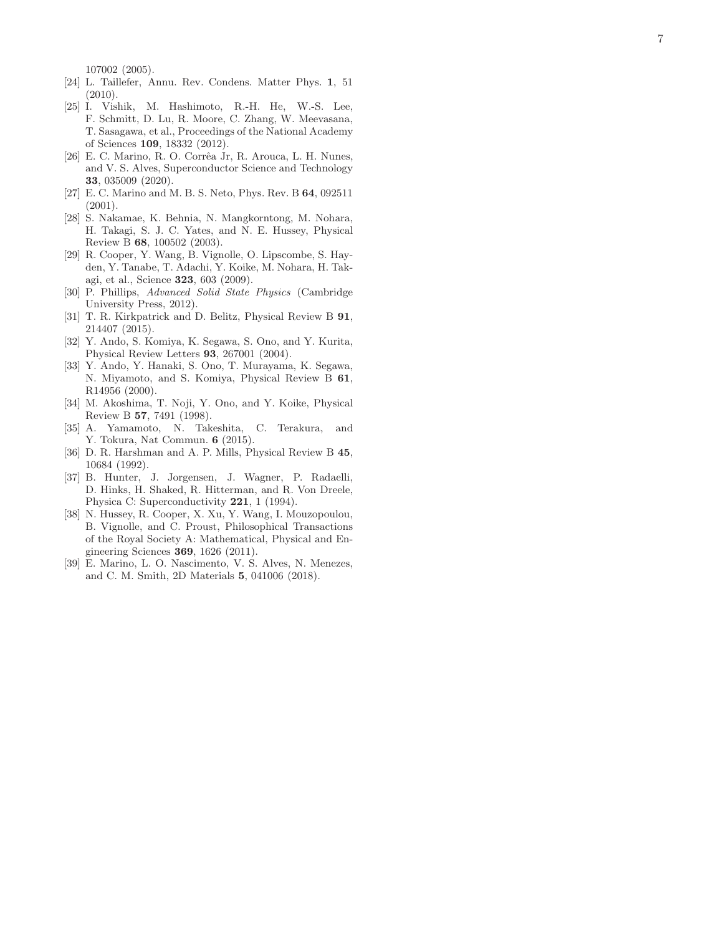107002 (2005).

- <span id="page-6-0"></span>[24] L. Taillefer, Annu. Rev. Condens. Matter Phys. 1, 51 (2010).
- <span id="page-6-1"></span>[25] I. Vishik, M. Hashimoto, R.-H. He, W.-S. Lee, F. Schmitt, D. Lu, R. Moore, C. Zhang, W. Meevasana, T. Sasagawa, et al., Proceedings of the National Academy of Sciences 109, 18332 (2012).
- <span id="page-6-2"></span>[26] E. C. Marino, R. O. Corrêa Jr, R. Arouca, L. H. Nunes, and V. S. Alves, Superconductor Science and Technology 33, 035009 (2020).
- <span id="page-6-5"></span>[27] E. C. Marino and M. B. S. Neto, Phys. Rev. B 64, 092511 (2001).
- <span id="page-6-3"></span>[28] S. Nakamae, K. Behnia, N. Mangkorntong, M. Nohara, H. Takagi, S. J. C. Yates, and N. E. Hussey, Physical Review B 68, 100502 (2003).
- <span id="page-6-4"></span>[29] R. Cooper, Y. Wang, B. Vignolle, O. Lipscombe, S. Hayden, Y. Tanabe, T. Adachi, Y. Koike, M. Nohara, H. Takagi, et al., Science 323, 603 (2009).
- <span id="page-6-6"></span>[30] P. Phillips, Advanced Solid State Physics (Cambridge University Press, 2012).
- <span id="page-6-7"></span>[31] T. R. Kirkpatrick and D. Belitz, Physical Review B  $91$ , 214407 (2015).
- <span id="page-6-8"></span>[32] Y. Ando, S. Komiya, K. Segawa, S. Ono, and Y. Kurita, Physical Review Letters 93, 267001 (2004).
- <span id="page-6-9"></span>[33] Y. Ando, Y. Hanaki, S. Ono, T. Murayama, K. Segawa, N. Miyamoto, and S. Komiya, Physical Review B 61, R14956 (2000).
- <span id="page-6-10"></span>[34] M. Akoshima, T. Noji, Y. Ono, and Y. Koike, Physical Review B 57, 7491 (1998).
- <span id="page-6-11"></span>[35] A. Yamamoto, N. Takeshita, C. Terakura, and Y. Tokura, Nat Commun. 6 (2015).
- <span id="page-6-12"></span>[36] D. R. Harshman and A. P. Mills, Physical Review B 45, 10684 (1992).
- <span id="page-6-13"></span>[37] B. Hunter, J. Jorgensen, J. Wagner, P. Radaelli, D. Hinks, H. Shaked, R. Hitterman, and R. Von Dreele, Physica C: Superconductivity 221, 1 (1994).
- <span id="page-6-15"></span>[38] N. Hussey, R. Cooper, X. Xu, Y. Wang, I. Mouzopoulou, B. Vignolle, and C. Proust, Philosophical Transactions of the Royal Society A: Mathematical, Physical and Engineering Sciences 369, 1626 (2011).
- <span id="page-6-14"></span>[39] E. Marino, L. O. Nascimento, V. S. Alves, N. Menezes, and C. M. Smith, 2D Materials 5, 041006 (2018).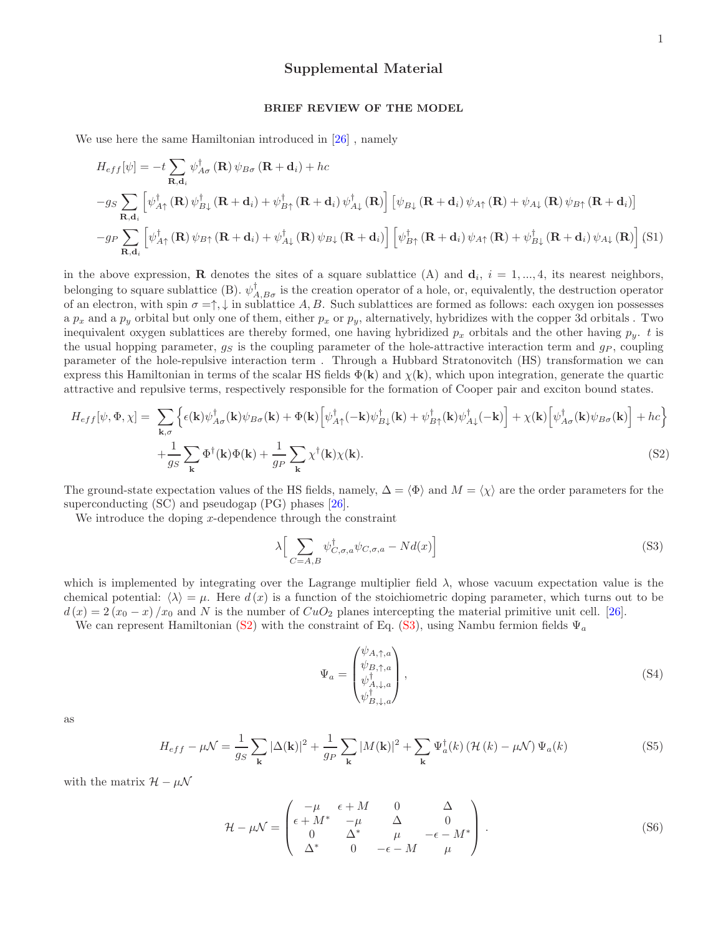# Supplemental Material

## BRIEF REVIEW OF THE MODEL

We use here the same Hamiltonian introduced in [\[26\]](#page-6-2), namely

$$
H_{eff}[\psi] = -t \sum_{\mathbf{R},\mathbf{d}_i} \psi_{A\sigma}^{\dagger}(\mathbf{R}) \psi_{B\sigma}(\mathbf{R}+\mathbf{d}_i) + hc
$$
  
\n
$$
-g_S \sum_{\mathbf{R},\mathbf{d}_i} \left[ \psi_{A\uparrow}^{\dagger}(\mathbf{R}) \psi_{B\downarrow}^{\dagger}(\mathbf{R}+\mathbf{d}_i) + \psi_{B\uparrow}^{\dagger}(\mathbf{R}+\mathbf{d}_i) \psi_{A\downarrow}^{\dagger}(\mathbf{R}) \right] \left[ \psi_{B\downarrow}(\mathbf{R}+\mathbf{d}_i) \psi_{A\uparrow}(\mathbf{R}) + \psi_{A\downarrow}(\mathbf{R}) \psi_{B\uparrow}(\mathbf{R}+\mathbf{d}_i) \right]
$$
  
\n
$$
-g_P \sum_{\mathbf{R},\mathbf{d}_i} \left[ \psi_{A\uparrow}^{\dagger}(\mathbf{R}) \psi_{B\uparrow}(\mathbf{R}+\mathbf{d}_i) + \psi_{A\downarrow}^{\dagger}(\mathbf{R}) \psi_{B\downarrow}(\mathbf{R}+\mathbf{d}_i) \right] \left[ \psi_{B\uparrow}^{\dagger}(\mathbf{R}+\mathbf{d}_i) \psi_{A\uparrow}(\mathbf{R}) + \psi_{B\downarrow}^{\dagger}(\mathbf{R}+\mathbf{d}_i) \psi_{A\downarrow}(\mathbf{R}) \right] (S1)
$$

in the above expression, **R** denotes the sites of a square sublattice (A) and  $\mathbf{d}_i$ ,  $i = 1, ..., 4$ , its nearest neighbors, belonging to square sublattice (B).  $\psi_{A,B\sigma}^{\dagger}$  is the creation operator of a hole, or, equivalently, the destruction operator of an electron, with spin  $\sigma = \uparrow, \downarrow$  in sublattice A, B. Such sublattices are formed as follows: each oxygen ion possesses a  $p_x$  and a  $p_y$  orbital but only one of them, either  $p_x$  or  $p_y$ , alternatively, hybridizes with the copper 3d orbitals. Two inequivalent oxygen sublattices are thereby formed, one having hybridized  $p_x$  orbitals and the other having  $p_y$ . t is the usual hopping parameter,  $g_S$  is the coupling parameter of the hole-attractive interaction term and  $g_P$ , coupling parameter of the hole-repulsive interaction term . Through a Hubbard Stratonovitch (HS) transformation we can express this Hamiltonian in terms of the scalar HS fields  $\Phi(\mathbf{k})$  and  $\chi(\mathbf{k})$ , which upon integration, generate the quartic attractive and repulsive terms, respectively responsible for the formation of Cooper pair and exciton bound states.

<span id="page-7-4"></span>
$$
H_{eff}[\psi, \Phi, \chi] = \sum_{\mathbf{k}, \sigma} \left\{ \epsilon(\mathbf{k}) \psi_{A\sigma}^{\dagger}(\mathbf{k}) \psi_{B\sigma}(\mathbf{k}) + \Phi(\mathbf{k}) \left[ \psi_{A\uparrow}^{\dagger}(-\mathbf{k}) \psi_{B\downarrow}^{\dagger}(\mathbf{k}) + \psi_{B\uparrow}^{\dagger}(\mathbf{k}) \psi_{A\downarrow}^{\dagger}(-\mathbf{k}) \right] + \chi(\mathbf{k}) \left[ \psi_{A\sigma}^{\dagger}(\mathbf{k}) \psi_{B\sigma}(\mathbf{k}) \right] + hc \right\} + \frac{1}{g_S} \sum_{\mathbf{k}} \Phi^{\dagger}(\mathbf{k}) \Phi(\mathbf{k}) + \frac{1}{g_P} \sum_{\mathbf{k}} \chi^{\dagger}(\mathbf{k}) \chi(\mathbf{k}).
$$
\n(S2)

The ground-state expectation values of the HS fields, namely,  $\Delta = \langle \Phi \rangle$  and  $M = \langle \chi \rangle$  are the order parameters for the superconducting (SC) and pseudogap (PG) phases [\[26\]](#page-6-2).

We introduce the doping  $x$ -dependence through the constraint

<span id="page-7-0"></span>
$$
\lambda \Big[ \sum_{C=A,B} \psi_{C,\sigma,a}^{\dagger} \psi_{C,\sigma,a} - N d(x) \Big]
$$
 (S3)

which is implemented by integrating over the Lagrange multiplier field  $\lambda$ , whose vacuum expectation value is the chemical potential:  $\langle \lambda \rangle = \mu$ . Here  $d(x)$  is a function of the stoichiometric doping parameter, which turns out to be  $d(x) = 2(x_0 - x)/x_0$  and N is the number of  $CuO<sub>2</sub>$  planes intercepting the material primitive unit cell. [\[26\]](#page-6-2).

We can represent Hamiltonian [\(S2\)](#page-7-4) with the constraint of Eq. [\(S3\)](#page-7-0), using Nambu fermion fields  $\Psi_a$ 

<span id="page-7-3"></span>
$$
\Psi_a = \begin{pmatrix} \psi_{A,\uparrow,a} \\ \psi_{B,\uparrow,a} \\ \psi_{A,\downarrow,a}^{\dagger} \\ \psi_{B,\downarrow,a}^{\dagger} \end{pmatrix},
$$
\n(S4)

as

<span id="page-7-2"></span>
$$
H_{eff} - \mu \mathcal{N} = \frac{1}{g_S} \sum_{\mathbf{k}} |\Delta(\mathbf{k})|^2 + \frac{1}{g_P} \sum_{\mathbf{k}} |M(\mathbf{k})|^2 + \sum_{\mathbf{k}} \Psi_a^{\dagger}(k) \left( \mathcal{H}(k) - \mu \mathcal{N} \right) \Psi_a(k)
$$
(S5)

with the matrix  $\mathcal{H} - \mu \mathcal{N}$ 

<span id="page-7-1"></span>
$$
\mathcal{H} - \mu \mathcal{N} = \begin{pmatrix}\n-\mu & \epsilon + M & 0 & \Delta \\
\epsilon + M^* & -\mu & \Delta & 0 \\
0 & \Delta^* & \mu & -\epsilon - M^* \\
\Delta^* & 0 & -\epsilon - M & \mu\n\end{pmatrix}.
$$
\n(S6)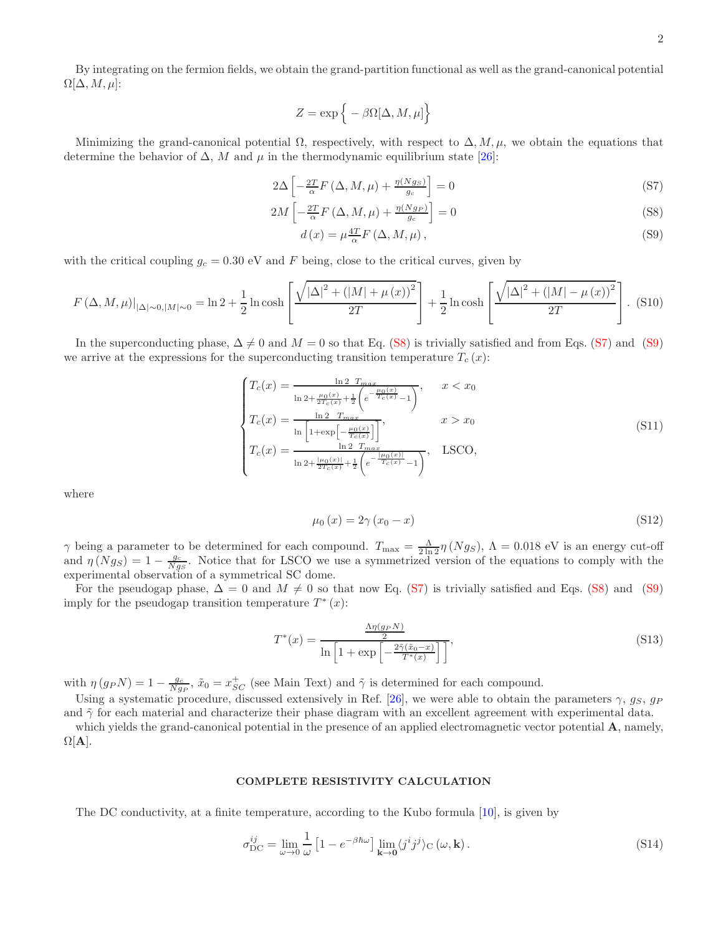$$
Z = \exp\Big\{-\beta\Omega[\Delta, M, \mu]\Big\}
$$

Minimizing the grand-canonical potential  $\Omega$ , respectively, with respect to  $\Delta, M, \mu$ , we obtain the equations that determine the behavior of  $\Delta$ , M and  $\mu$  in the thermodynamic equilibrium state [\[26](#page-6-2)]:

<span id="page-8-1"></span>
$$
2\Delta \left[ -\frac{2T}{\alpha}F\left(\Delta, M, \mu\right) + \frac{\eta(Ngs)}{g_c} \right] = 0\tag{S7}
$$

$$
2M\left[-\frac{2T}{\alpha}F\left(\Delta,M,\mu\right)+\frac{\eta(Ng_P)}{g_c}\right]=0\tag{S8}
$$

$$
d(x) = \mu \frac{4T}{\alpha} F(\Delta, M, \mu), \qquad (S9)
$$

with the critical coupling  $g_c = 0.30$  eV and F being, close to the critical curves, given by

<span id="page-8-4"></span>
$$
F(\Delta, M, \mu)|_{|\Delta| \sim 0, |M| \sim 0} = \ln 2 + \frac{1}{2} \ln \cosh \left[ \frac{\sqrt{|\Delta|^2 + (|M| + \mu(x))^2}}{2T} \right] + \frac{1}{2} \ln \cosh \left[ \frac{\sqrt{|\Delta|^2 + (|M| - \mu(x))^2}}{2T} \right].
$$
 (S10)

In the superconducting phase,  $\Delta \neq 0$  and  $M = 0$  so that Eq. [\(S8\)](#page-8-1) is trivially satisfied and from Eqs. [\(S7\)](#page-8-1) and [\(S9\)](#page-8-1) we arrive at the expressions for the superconducting transition temperature  $T_c(x)$ :

<span id="page-8-3"></span>
$$
\begin{cases}\nT_c(x) = \frac{\ln 2 T_{max}}{\ln 2 + \frac{\mu_0(x)}{2T_c(x)} + \frac{1}{2} \left(e^{-\frac{\mu_0(x)}{T_c(x)}} - 1\right)}, & x < x_0 \\
T_c(x) = \frac{\ln 2 T_{max}}{\ln \left[1 + \exp\left[-\frac{\mu_0(x)}{T_c(x)}\right]\right]}, & x > x_0 \\
T_c(x) = \frac{\ln 2 T_{max}}{\ln 2 T_{max} + \frac{\ln 2 T_{max}}{2T_c(x)} + \frac{1}{2} \left(e^{-\frac{\left[\mu_0(x)\right]}{T_c(x)}} - 1\right)}, & \text{LSCO},\n\end{cases}
$$
\n(S11)

where

<span id="page-8-2"></span>
$$
\mu_0(x) = 2\gamma (x_0 - x) \tag{S12}
$$

 $\gamma$  being a parameter to be determined for each compound.  $T_{\text{max}} = \frac{\Lambda}{2 \ln 2} \eta (N g_S)$ ,  $\Lambda = 0.018 \text{ eV}$  is an energy cut-off and  $\eta(Ng_S) = 1 - \frac{g_c}{Ng_S}$ . Notice that for LSCO we use a symmetrized version of the equations to comply with the experimental observation of a symmetrical SC dome.

For the pseudogap phase,  $\Delta = 0$  and  $M \neq 0$  so that now Eq. [\(S7\)](#page-8-1) is trivially satisfied and Eqs. [\(S8\)](#page-8-1) and [\(S9\)](#page-8-1) imply for the pseudogap transition temperature  $T^*(x)$ :

$$
T^*(x) = \frac{\frac{\Lambda \eta(g_P N)}{2}}{\ln\left[1 + \exp\left[-\frac{2\tilde{\gamma}(\tilde{x}_0 - x)}{T^*(x)}\right]\right]},
$$
\n(S13)

with  $\eta(g_P N) = 1 - \frac{g_c}{N g_P}$ ,  $\tilde{x}_0 = x_{SC}^+$  (see Main Text) and  $\tilde{\gamma}$  is determined for each compound.

Using a systematic procedure, discussed extensively in Ref. [\[26](#page-6-2)], we were able to obtain the parameters  $\gamma$ ,  $g_S$ ,  $g_P$ and  $\tilde{\gamma}$  for each material and characterize their phase diagram with an excellent agreement with experimental data.

which yields the grand-canonical potential in the presence of an applied electromagnetic vector potential **A**, namely,  $\Omega[A]$ .

### COMPLETE RESISTIVITY CALCULATION

The DC conductivity, at a finite temperature, according to the Kubo formula [\[10](#page-5-20)], is given by

<span id="page-8-0"></span>
$$
\sigma_{\rm DC}^{ij} = \lim_{\omega \to 0} \frac{1}{\omega} \left[ 1 - e^{-\beta \hbar \omega} \right] \lim_{\mathbf{k} \to \mathbf{0}} \langle j^i j^j \rangle_{\rm C} (\omega, \mathbf{k}). \tag{S14}
$$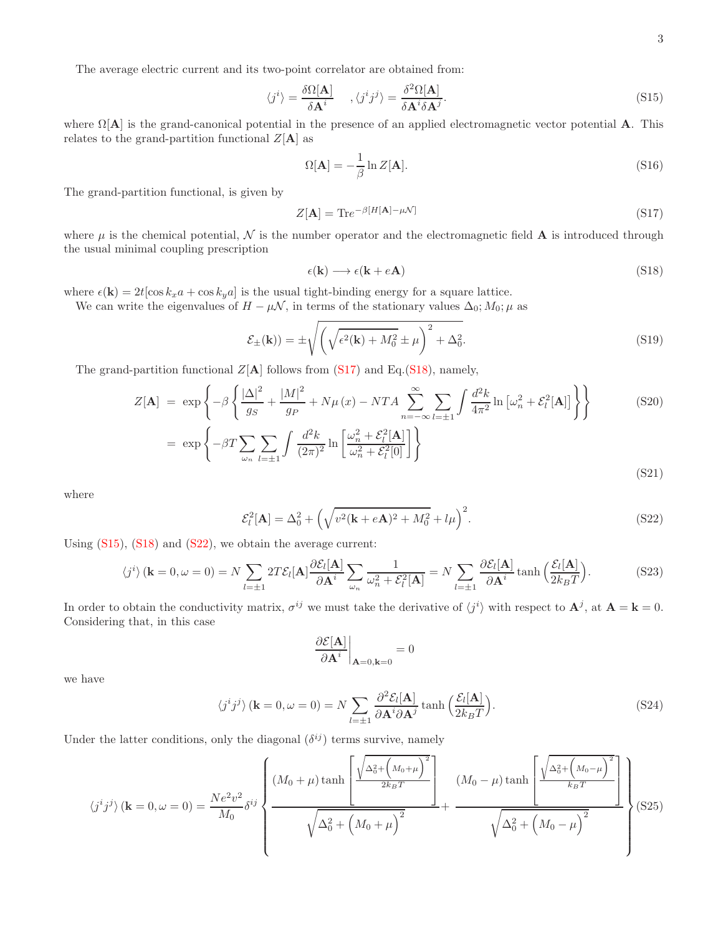The average electric current and its two-point correlator are obtained from:

<span id="page-9-0"></span>
$$
\langle j^{i} \rangle = \frac{\delta \Omega[\mathbf{A}]}{\delta \mathbf{A}^{i}} \quad , \langle j^{i} j^{j} \rangle = \frac{\delta^{2} \Omega[\mathbf{A}]}{\delta \mathbf{A}^{i} \delta \mathbf{A}^{j}}. \tag{S15}
$$

where  $\Omega[A]$  is the grand-canonical potential in the presence of an applied electromagnetic vector potential A. This relates to the grand-partition functional  $Z[A]$  as

$$
\Omega[\mathbf{A}] = -\frac{1}{\beta} \ln Z[\mathbf{A}].
$$
\n(S16)

The grand-partition functional, is given by

<span id="page-9-2"></span>
$$
Z[\mathbf{A}] = \text{Tr}e^{-\beta[H[\mathbf{A}] - \mu \mathcal{N}]} \tag{S17}
$$

where  $\mu$  is the chemical potential,  $\mathcal N$  is the number operator and the electromagnetic field **A** is introduced through the usual minimal coupling prescription

<span id="page-9-1"></span>
$$
\epsilon(\mathbf{k}) \longrightarrow \epsilon(\mathbf{k} + e\mathbf{A}) \tag{S18}
$$

where  $\epsilon(\mathbf{k}) = 2t[\cos k_x a + \cos k_y a]$  is the usual tight-binding energy for a square lattice.

We can write the eigenvalues of  $H - \mu \mathcal{N}$ , in terms of the stationary values  $\Delta_0$ ;  $M_0$ ;  $\mu$  as

$$
\mathcal{E}_{\pm}(\mathbf{k})) = \pm \sqrt{\left(\sqrt{\epsilon^2(\mathbf{k}) + M_0^2} \pm \mu\right)^2 + \Delta_0^2}.
$$
\n(S19)

The grand-partition functional  $Z[A]$  follows from [\(S17\)](#page-9-2) and Eq.[\(S18\)](#page-9-1), namely,

$$
Z[\mathbf{A}] = \exp\left\{-\beta \left\{ \frac{|\Delta|^2}{g_S} + \frac{|M|^2}{g_P} + N\mu(x) - NTA \sum_{n=-\infty}^{\infty} \sum_{l=\pm 1} \int \frac{d^2k}{4\pi^2} \ln\left[\omega_n^2 + \mathcal{E}_l^2[\mathbf{A}]\right] \right\} \right\}
$$
(S20)  

$$
= \exp\left\{-\beta T \sum_{\omega_n} \sum_{l=\pm 1} \int \frac{d^2k}{(2\pi)^2} \ln\left[\frac{\omega_n^2 + \mathcal{E}_l^2[\mathbf{A}]}{\omega_n^2 + \mathcal{E}_l^2[0]}\right] \right\}
$$
(S21)

where

<span id="page-9-3"></span>
$$
\mathcal{E}_l^2[\mathbf{A}] = \Delta_0^2 + \left(\sqrt{v^2(\mathbf{k} + e\mathbf{A})^2 + M_0^2} + l\mu\right)^2.
$$
 (S22)

Using [\(S15\)](#page-9-0), [\(S18\)](#page-9-1) and [\(S22\)](#page-9-3), we obtain the average current:

$$
\langle j^{i} \rangle (\mathbf{k} = 0, \omega = 0) = N \sum_{l=\pm 1} 2T \mathcal{E}_{l}[\mathbf{A}] \frac{\partial \mathcal{E}_{l}[\mathbf{A}]}{\partial \mathbf{A}^{i}} \sum_{\omega_{n}} \frac{1}{\omega_{n}^{2} + \mathcal{E}_{l}^{2}[\mathbf{A}]} = N \sum_{l=\pm 1} \frac{\partial \mathcal{E}_{l}[\mathbf{A}]}{\partial \mathbf{A}^{i}} \tanh \left(\frac{\mathcal{E}_{l}[\mathbf{A}]}{2k_{B}T}\right).
$$
 (S23)

In order to obtain the conductivity matrix,  $\sigma^{ij}$  we must take the derivative of  $\langle j^i \rangle$  with respect to  $\mathbf{A}^j$ , at  $\mathbf{A} = \mathbf{k} = 0$ . Considering that, in this case

$$
\left. \frac{\partial \mathcal{E}[\mathbf{A}]}{\partial \mathbf{A}^i} \right|_{\mathbf{A} = 0, \mathbf{k} = 0} = 0
$$

we have

$$
\langle j^{i}j^{j}\rangle(\mathbf{k}=0,\omega=0)=N\sum_{l=\pm 1}\frac{\partial^{2}\mathcal{E}_{l}[\mathbf{A}]}{\partial \mathbf{A}^{i}\partial \mathbf{A}^{j}}\tanh\Big(\frac{\mathcal{E}_{l}[\mathbf{A}]}{2k_{B}T}\Big). \tag{S24}
$$

Under the latter conditions, only the diagonal  $(\delta^{ij})$  terms survive, namely

$$
\langle j^{i}j^{j}\rangle(\mathbf{k}=0,\omega=0) = \frac{Ne^{2}v^{2}}{M_{0}}\delta^{ij}\left\{\frac{(M_{0}+\mu)\tanh\left[\frac{\sqrt{\Delta_{0}^{2}+\left(M_{0}+\mu\right)^{2}}}{2k_{B}T}\right]}{\sqrt{\Delta_{0}^{2}+\left(M_{0}+\mu\right)^{2}}}+\frac{(M_{0}-\mu)\tanh\left[\frac{\sqrt{\Delta_{0}^{2}+\left(M_{0}-\mu\right)^{2}}}{k_{B}T}\right]}{\sqrt{\Delta_{0}^{2}+\left(M_{0}-\mu\right)^{2}}}\right\}
$$
(S25)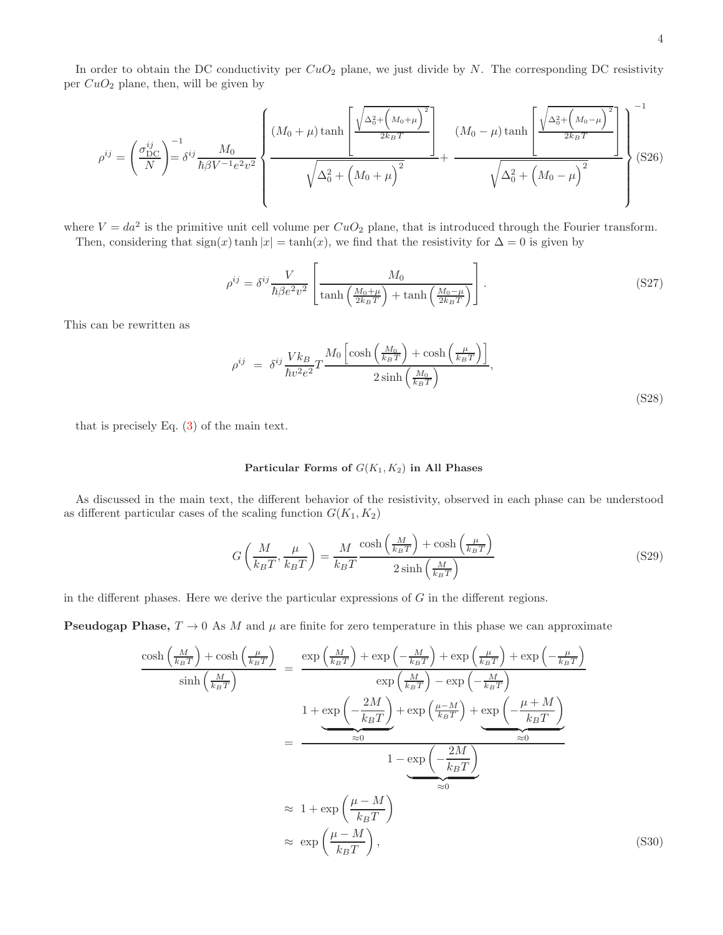In order to obtain the DC conductivity per  $CuO<sub>2</sub>$  plane, we just divide by N. The corresponding DC resistivity per  $CuO<sub>2</sub>$  plane, then, will be given by

$$
\rho^{ij} = \left(\frac{\sigma_{\rm DC}^{ij}}{N}\right)^{-1} = \delta^{ij} \frac{M_0}{\hbar \beta V^{-1} e^2 v^2} \left\{\frac{\left(M_0 + \mu\right) \tanh\left[\frac{\sqrt{\Delta_0^2 + \left(M_0 + \mu\right)^2}}{2k_B T}\right]}{\sqrt{\Delta_0^2 + \left(M_0 + \mu\right)^2}} + \frac{\left(M_0 - \mu\right) \tanh\left[\frac{\sqrt{\Delta_0^2 + \left(M_0 - \mu\right)^2}}{2k_B T}\right]}{\sqrt{\Delta_0^2 + \left(M_0 - \mu\right)^2}}\right\} \right\}^{-(1)} (S26)
$$

where  $V = da^2$  is the primitive unit cell volume per  $CuO_2$  plane, that is introduced through the Fourier transform. Then, considering that  $sign(x)$  tanh  $|x| = tanh(x)$ , we find that the resistivity for  $\Delta = 0$  is given by

$$
\rho^{ij} = \delta^{ij} \frac{V}{\hbar \beta e^2 v^2} \left[ \frac{M_0}{\tanh\left(\frac{M_0 + \mu}{2k_B T}\right) + \tanh\left(\frac{M_0 - \mu}{2k_B T}\right)} \right].
$$
\n(S27)

This can be rewritten as

$$
\rho^{ij} = \delta^{ij} \frac{V k_B}{\hbar v^2 e^2} T \frac{M_0 \left[ \cosh\left(\frac{M_0}{k_B T}\right) + \cosh\left(\frac{\mu}{k_B T}\right) \right]}{2 \sinh\left(\frac{M_0}{k_B T}\right)},\tag{S28}
$$

that is precisely Eq. [\(3\)](#page-7-0) of the main text.

# Particular Forms of  $G(K_1, K_2)$  in All Phases

As discussed in the main text, the different behavior of the resistivity, observed in each phase can be understood as different particular cases of the scaling function  $G(K_1, K_2)$ 

$$
G\left(\frac{M}{k_BT}, \frac{\mu}{k_BT}\right) = \frac{M}{k_BT} \frac{\cosh\left(\frac{M}{k_BT}\right) + \cosh\left(\frac{\mu}{k_BT}\right)}{2\sinh\left(\frac{M}{k_BT}\right)}
$$
(S29)

in the different phases. Here we derive the particular expressions of  $G$  in the different regions.

**Pseudogap Phase,**  $T \to 0$  As M and  $\mu$  are finite for zero temperature in this phase we can approximate

$$
\frac{\cosh\left(\frac{M}{k_BT}\right) + \cosh\left(\frac{\mu}{k_BT}\right)}{\sinh\left(\frac{M}{k_BT}\right)} = \frac{\exp\left(\frac{M}{k_BT}\right) + \exp\left(-\frac{M}{k_BT}\right) + \exp\left(\frac{\mu}{k_BT}\right) + \exp\left(-\frac{\mu}{k_BT}\right)}{\exp\left(\frac{M}{k_BT}\right) - \exp\left(-\frac{M}{k_BT}\right)}
$$

$$
1 + \underbrace{\exp\left(-\frac{2M}{k_BT}\right)}_{\approx 0} + \exp\left(\frac{\mu-M}{k_BT}\right) + \underbrace{\exp\left(-\frac{\mu+M}{k_BT}\right)}_{\approx 0}
$$

$$
1 - \underbrace{\exp\left(-\frac{2M}{k_BT}\right)}_{\approx 0}
$$

$$
\approx 1 + \exp\left(\frac{\mu-M}{k_BT}\right)
$$
\n
$$
\approx \exp\left(\frac{\mu-M}{k_BT}\right), \tag{S30}
$$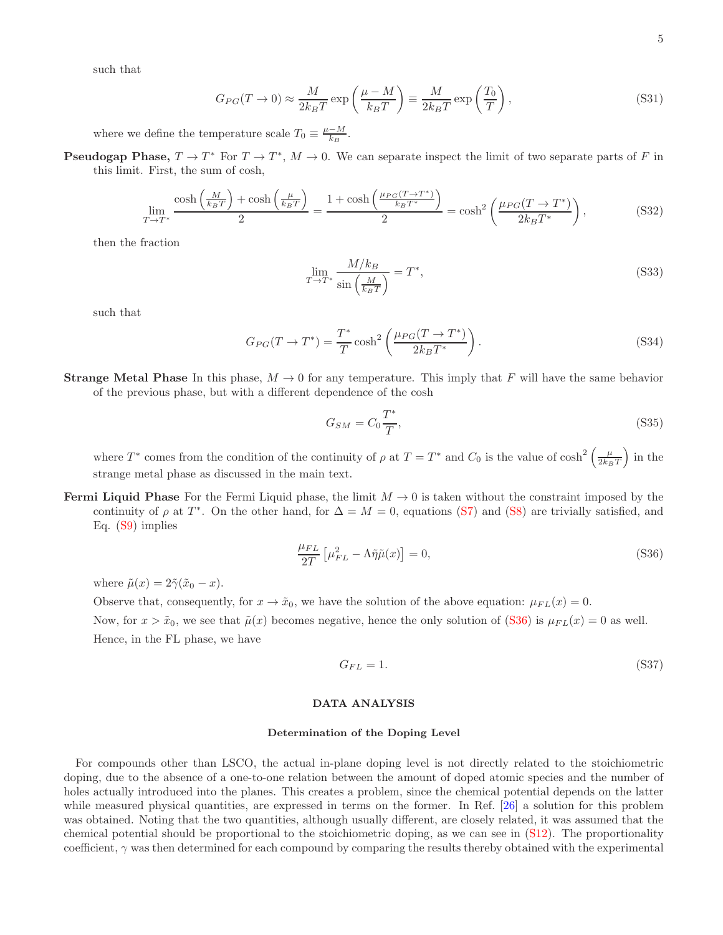such that

$$
G_{PG}(T \to 0) \approx \frac{M}{2k_B T} \exp\left(\frac{\mu - M}{k_B T}\right) \equiv \frac{M}{2k_B T} \exp\left(\frac{T_0}{T}\right),\tag{S31}
$$

where we define the temperature scale  $T_0 \equiv \frac{\mu - M}{k_B}$ .

**Pseudogap Phase,**  $T \to T^*$  For  $T \to T^*$ ,  $M \to 0$ . We can separate inspect the limit of two separate parts of F in this limit. First, the sum of cosh,

$$
\lim_{T \to T^*} \frac{\cosh\left(\frac{M}{k_B T}\right) + \cosh\left(\frac{\mu}{k_B T}\right)}{2} = \frac{1 + \cosh\left(\frac{\mu_{PG}(T \to T^*)}{k_B T^*}\right)}{2} = \cosh^2\left(\frac{\mu_{PG}(T \to T^*)}{2k_B T^*}\right),\tag{S32}
$$

then the fraction

$$
\lim_{T \to T^*} \frac{M/k_B}{\sin\left(\frac{M}{k_B T}\right)} = T^*,\tag{S33}
$$

such that

$$
G_{PG}(T \to T^*) = \frac{T^*}{T} \cosh^2\left(\frac{\mu_{PG}(T \to T^*)}{2k_B T^*}\right). \tag{S34}
$$

**Strange Metal Phase** In this phase,  $M \to 0$  for any temperature. This imply that F will have the same behavior of the previous phase, but with a different dependence of the cosh

$$
G_{SM} = C_0 \frac{T^*}{T},\tag{S35}
$$

where  $T^*$  comes from the condition of the continuity of  $\rho$  at  $T = T^*$  and  $C_0$  is the value of  $\cosh^2\left(\frac{\mu}{2k_BT}\right)$  in the strange metal phase as discussed in the main text.

**Fermi Liquid Phase** For the Fermi Liquid phase, the limit  $M \to 0$  is taken without the constraint imposed by the continuity of  $\rho$  at T<sup>\*</sup>. On the other hand, for  $\Delta = M = 0$ , equations [\(S7\)](#page-8-1) and [\(S8\)](#page-8-1) are trivially satisfied, and Eq. [\(S9\)](#page-8-1) implies

<span id="page-11-0"></span>
$$
\frac{\mu_{FL}}{2T} \left[ \mu_{FL}^2 - \Lambda \tilde{\eta} \tilde{\mu}(x) \right] = 0, \tag{S36}
$$

where  $\tilde{\mu}(x) = 2\tilde{\gamma}(\tilde{x}_0 - x)$ .

Observe that, consequently, for  $x \to \tilde{x}_0$ , we have the solution of the above equation:  $\mu_{FL}(x) = 0$ . Now, for  $x > \tilde{x}_0$ , we see that  $\tilde{\mu}(x)$  becomes negative, hence the only solution of [\(S36\)](#page-11-0) is  $\mu_{FL}(x) = 0$  as well. Hence, in the FL phase, we have

$$
G_{FL} = 1.\t\t(S37)
$$

#### DATA ANALYSIS

# Determination of the Doping Level

For compounds other than LSCO, the actual in-plane doping level is not directly related to the stoichiometric doping, due to the absence of a one-to-one relation between the amount of doped atomic species and the number of holes actually introduced into the planes. This creates a problem, since the chemical potential depends on the latter while measured physical quantities, are expressed in terms on the former. In Ref. [\[26](#page-6-2)] a solution for this problem was obtained. Noting that the two quantities, although usually different, are closely related, it was assumed that the chemical potential should be proportional to the stoichiometric doping, as we can see in [\(S12\)](#page-8-2). The proportionality coefficient,  $\gamma$  was then determined for each compound by comparing the results thereby obtained with the experimental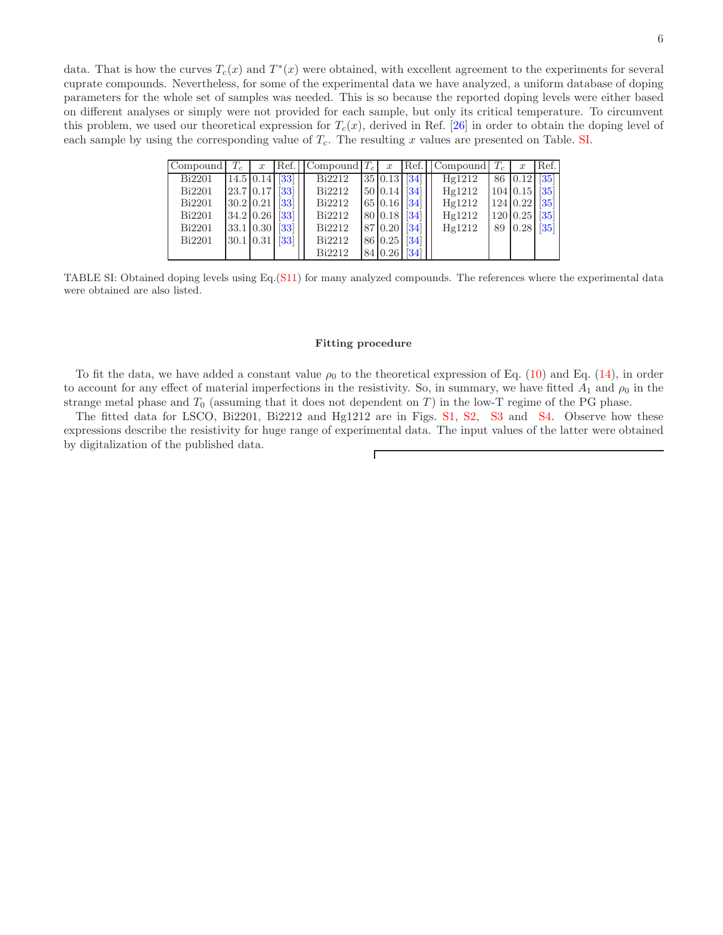data. That is how the curves  $T_c(x)$  and  $T^*(x)$  were obtained, with excellent agreement to the experiments for several cuprate compounds. Nevertheless, for some of the experimental data we have analyzed, a uniform database of doping parameters for the whole set of samples was needed. This is so because the reported doping levels were either based on different analyses or simply were not provided for each sample, but only its critical temperature. To circumvent this problem, we used our theoretical expression for  $T_c(x)$ , derived in Ref. [\[26\]](#page-6-2) in order to obtain the doping level of each sample by using the corresponding value of  $T_c$ . The resulting x values are presented on Table. [SI.](#page-12-0)

| Compound      | $\boldsymbol{x}$                        | Ref. Compound $T_c$ | $\boldsymbol{x}$ | Ref. | Compound | $T_c$ | $\boldsymbol{x}$        | Ref.              |
|---------------|-----------------------------------------|---------------------|------------------|------|----------|-------|-------------------------|-------------------|
| <b>Bi2201</b> | $14.5 \,   \, 0.14 \,   \, 331 \,   \,$ | Bi2212              | $35 0.13 $ [34]  |      | Hg1212   |       | 86 0.12 35              |                   |
| <b>Bi2201</b> | $23.7$ 0.17 [33]                        | Bi2212              | $50 0.14 $ [34]  |      | Hg1212   |       | $104 \mid 0.15 \mid 35$ |                   |
| <b>Bi2201</b> | $30.2$ 0.21 [33]                        | Bi2212              | $65 0.16 $ [34]  |      | Hg1212   |       | $124 0.22 $ [35]        |                   |
| Bi2201        | $34.2$ 0.26 [33]                        | Bi2212              | $80 0.18 $ [34]  |      | Hg1212   |       | 120 0.25                | $\left 35\right $ |
| <b>Bi2201</b> | $33.1 \mid 0.30 \mid 33$                | Bi2212              | $87 0.20 $ [34]  |      | Hg1212   | 89    | 0.28                    | $\vert 35 \vert$  |
| <b>Bi2201</b> | $30.1 \,   \, 0.31 \,   \, 33$          | Bi2212              | 86 0.25 34       |      |          |       |                         |                   |
|               |                                         | Bi2212              | 84 0.26 [34]     |      |          |       |                         |                   |

<span id="page-12-0"></span>TABLE SI: Obtained doping levels using Eq.[\(S11\)](#page-8-3) for many analyzed compounds. The references where the experimental data were obtained are also listed.

### Fitting procedure

To fit the data, we have added a constant value  $\rho_0$  to the theoretical expression of Eq. [\(10\)](#page-8-4) and Eq. [\(14\)](#page-8-0), in order to account for any effect of material imperfections in the resistivity. So, in summary, we have fitted  $A_1$  and  $\rho_0$  in the strange metal phase and  $T_0$  (assuming that it does not dependent on  $T$ ) in the low-T regime of the PG phase.

The fitted data for LSCO, Bi2201, Bi2212 and Hg1212 are in Figs. [S1,](#page-13-0) [S2,](#page-14-1) [S3](#page-14-0) and [S4.](#page-15-0) Observe how these expressions describe the resistivity for huge range of experimental data. The input values of the latter were obtained by digitalization of the published data.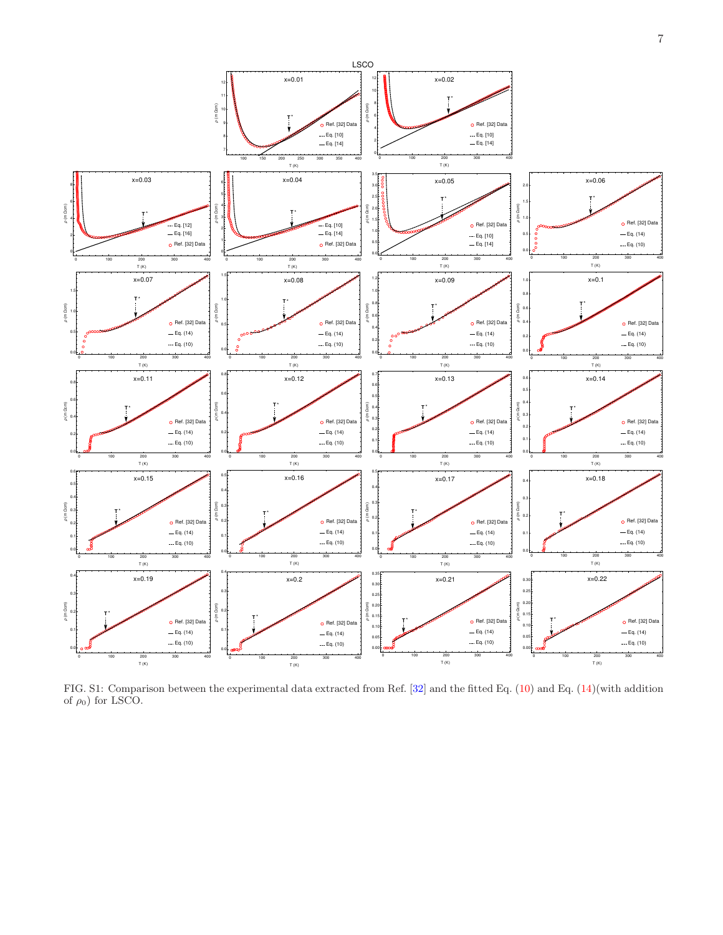

<span id="page-13-0"></span>FIG. S1: Comparison between the experimental data extracted from Ref. [\[32\]](#page-6-8) and the fitted Eq. [\(10\)](#page-8-4) and Eq. [\(14\)](#page-8-0)(with addition of  $\rho_0$ ) for LSCO.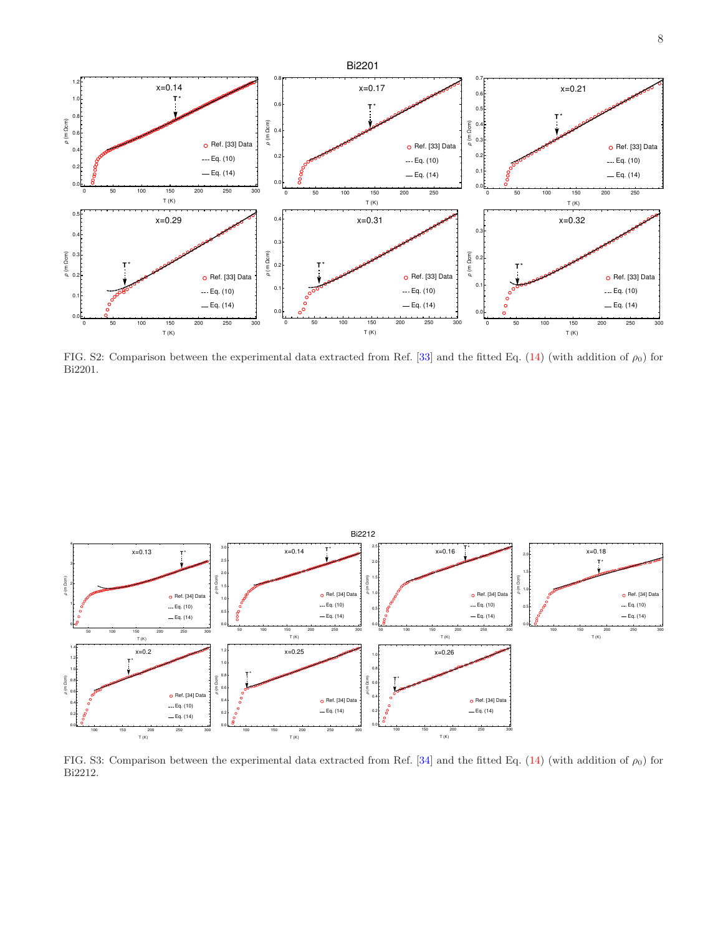

<span id="page-14-1"></span>FIG. S2: Comparison between the experimental data extracted from Ref. [\[33](#page-6-9)] and the fitted Eq. [\(14\)](#page-8-0) (with addition of  $\rho_0$ ) for Bi2201.



<span id="page-14-0"></span>FIG. S3: Comparison between the experimental data extracted from Ref. [\[34](#page-6-10)] and the fitted Eq. [\(14\)](#page-8-0) (with addition of  $\rho_0$ ) for Bi2212.